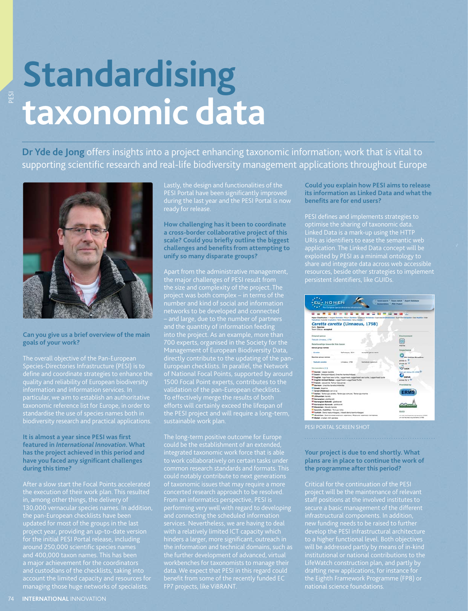# **Standardising taxonomic data**

**Dr Yde de Jong** offers insights into a project enhancing taxonomic information; work that is vital to supporting scientific research and real-life biodiversity management applications throughout Europe



## **Can you give us a brief overview of the main goals of your work?**

Species-Directories Infrastructure (PESI) is to define and coordinate strategies to enhance the quality and reliability of European biodiversity particular, we aim to establish an authoritative biodiversity research and practical applications.

## **It is almost a year since PESI was first featured in** *International Innovation***. What has the project achieved in this period and**  have you faced any significant challenges **during this time?**

in, among other things, the delivery of 130,000 vernacular species names. In addition, updated for most of the groups in the last and custodians of the checklists, taking into managing those huge networks of specialists.

Lastly, the design and functionalities of the PESI Portal have been significantly improved

**How challenging has it been to coordinate a cross-border collaborative project of this**  scale? Could you briefly outline the biggest **challenges and benefi ts from attempting to unify so many disparate groups?**

Apart from the administrative management, the major challenges of PESI result from the size and complexity of the project. The project was both complex – in terms of the 700 experts, organised in the Society for the Management of European Biodiversity Data, 1500 Focal Point experts, contributes to the efforts will certainly exceed the lifespan of

The long-term positive outcome for Europe could be the establishment of an extended, common research standards and formats. This could notably contribute to next generations concerted research approach to be resolved. From an informatics perspective, PESI is performing very well with regard to developing and connecting the scheduled information with a relatively limited ICT capacity which hinders a larger, more significant, outreach in workbenches for taxonomists to manage their data. We expect that PESI in this regard could benefit from some of the recently funded EC FP7 projects, like ViBRANT.

**Could you explain how PESI aims to release its information as Linked Data and what the benefits are for end users?** 

Linked Data is a mark-up using the HTTP URIs as identifiers to ease the semantic web application. The Linked Data concept will be exploited by PESI as a minimal ontology to share and integrate data across web accessible resources, beside other strategies to implement persistent identifiers, like GUIDs.

|                                                                                                   | <b>11 - 11</b><br>- 11<br><b>Brand Co</b><br><b>CH 100</b><br>Higher Classification: + Kryder Annualis - Rober (Sprinter Schafpige Vertebrate+ Scorcian) dividiositionalist Scorcian Valcanties Cost Augustus Crisis<br>Testudines» Submite Crustedner Fehly (Selentiates: Group Canadia) |                                         |                                     |  |
|---------------------------------------------------------------------------------------------------|-------------------------------------------------------------------------------------------------------------------------------------------------------------------------------------------------------------------------------------------------------------------------------------------|-----------------------------------------|-------------------------------------|--|
| Caretta caretta (Linnaeus, 1758)<br><b>Rank: Species</b><br><b>Taxon Status: accepted</b>         |                                                                                                                                                                                                                                                                                           |                                         |                                     |  |
| Original gamus                                                                                    |                                                                                                                                                                                                                                                                                           |                                         | Engineermand                        |  |
| Texture Limited, 1758                                                                             |                                                                                                                                                                                                                                                                                           |                                         |                                     |  |
| Relationships towards this taxon                                                                  |                                                                                                                                                                                                                                                                                           |                                         |                                     |  |
| <b>Genus group names</b>                                                                          |                                                                                                                                                                                                                                                                                           |                                         | marine                              |  |
|                                                                                                   |                                                                                                                                                                                                                                                                                           |                                         | Importance                          |  |
| Carolina                                                                                          | Refinenzue, 1814                                                                                                                                                                                                                                                                          | accepted games name.                    |                                     |  |
| Species group names                                                                               |                                                                                                                                                                                                                                                                                           |                                         | EU Habitat Directive                |  |
|                                                                                                   |                                                                                                                                                                                                                                                                                           |                                         | prima to 11                         |  |
| <b>Textually carried a</b>                                                                        | Livnanus, 1718                                                                                                                                                                                                                                                                            | <b><i><u>hamalysic</u></i></b> suitomom | <b>Altres 74</b>                    |  |
|                                                                                                   |                                                                                                                                                                                                                                                                                           |                                         | <b>BACK</b>                         |  |
| Vernaculars (+1)                                                                                  |                                                                                                                                                                                                                                                                                           |                                         | $-$ 1157%                           |  |
| 12 Davish: Unune karette                                                                          |                                                                                                                                                                                                                                                                                           |                                         | <b>Red List status fits close W</b> |  |
| - Dutch: Diskupschildred: Drachte kurstschildred.                                                 |                                                                                                                                                                                                                                                                                           |                                         | 05848                               |  |
| <sup>80</sup> English: loperhead see turtle; Lopperhead; topperhead see turtle; Lopperhead turtle |                                                                                                                                                                                                                                                                                           |                                         |                                     |  |
| <sup>Ni</sup> English-United States: Locatrined, Locatrined Turtle                                |                                                                                                                                                                                                                                                                                           |                                         | annex IV, V <sup>18</sup>           |  |
| <b>Il French:</b> cessanne; Tortue Cesuanne<br><b>Marman:</b> Unarthy European Adducting          |                                                                                                                                                                                                                                                                                           |                                         | <b>Provided by</b>                  |  |
| <b>III depart Strategy</b>                                                                        |                                                                                                                                                                                                                                                                                           |                                         |                                     |  |
|                                                                                                   |                                                                                                                                                                                                                                                                                           |                                         |                                     |  |
| - Incent (Hebrew): on once                                                                        | I Fitalian: Tetanga caretta; Tetanga comune; Tetanga marina                                                                                                                                                                                                                               |                                         |                                     |  |
| <b>MILANGER Lands</b>                                                                             |                                                                                                                                                                                                                                                                                           |                                         |                                     |  |
| <sup>86</sup> Norwegian: glottkarett                                                              |                                                                                                                                                                                                                                                                                           |                                         |                                     |  |
| <sup>88</sup> Norwegian Bokmäl, glattigratt                                                       |                                                                                                                                                                                                                                                                                           |                                         |                                     |  |
| <b>III Norwegian Nynorsk: glottkarett</b>                                                         |                                                                                                                                                                                                                                                                                           |                                         |                                     |  |
| <b>PERSONAL Gavets haves</b>                                                                      |                                                                                                                                                                                                                                                                                           |                                         |                                     |  |
|                                                                                                   |                                                                                                                                                                                                                                                                                           |                                         |                                     |  |
| - Spanish, Castillian: Totuga boba                                                                |                                                                                                                                                                                                                                                                                           |                                         |                                     |  |

PESI PORTAL SCREEN SHOT

## **Your project is due to end shortly. What plans are in place to continue the work of the programme after this period?**

project will be the maintenance of relevant staff positions at the involved institutes to secure a basic management of the different infrastructural components. In addition, develop the PESI infrastructural architecture to a higher functional level. Both objectives drafting new applications, for instance for the Eighth Framework Programme (FP8) or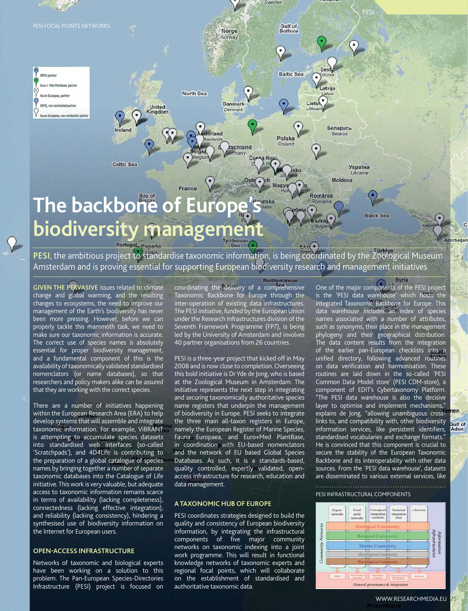

Amsterdam and is proving essential for supporting European biodiversity research and management initiatives **GIVEN THE PERVASIVE** issues related to climate coordinating the delivery of a comprehensive

change and global warming, and the resulting changes to ecosystems, the need to improve our management of the Earth's biodiversity has never been more pressing. However, before we can properly tackle this mammoth task, we need to make sure our taxonomic information is accurate. The correct use of species names is absolutely essential for proper biodiversity management, and a fundamental component of this is the availability of taxonomically validated standardised nomenclators (or name databases), so that researchers and policy makers alike can be assured that they are working with the correct species.

There are a number of initiatives happening within the European Research Area (ERA) to help develop systems that will assemble and integrate taxonomic information. For example, ViBRANT is attempting to accumulate species datasets into standardised web interfaces (so-called 'Scratchpads'), and 4D4Life is contributing to the preparation of a global catalogue of species names by bringing together a number of separate taxonomic databases into the Catalogue of Life initiative. This work is very valuable, but adequate access to taxonomic information remains scarce in terms of availability (lacking completeness), connectedness (lacking effective integration), and reliability (lacking consistency), hindering a synthesised use of biodiversity information on the Internet for European users.

## **OPEN-ACCESS INFRASTRUCTURE**

Networks of taxonomic and biological experts have been working on a solution to this problem. The Pan-European Species-Directories Infrastructure (PESI) project is focused on

Taxonomic Backbone for Europe through the inter-operation of existing data infrastructures. The PESI initiative, funded by the European Union under the Research Infrastructures division of the Seventh Framework Programme (FP7), is being led by the University of Amsterdam and involves 40 partner organisations from 26 countries.

## PESI is a three-year project that kicked off in May 2008 and is now close to completion. Overseeing this bold initiative is Dr Yde de Jong, who is based at the Zoological Museum in Amsterdam. The initiative represents the next step in integrating and securing taxonomically authoritative species name registers that underpin the management of biodiversity in Europe. PESI seeks to integrate the three main all-taxon registers in Europe, namely the European Register of Marine Species, Fauna Europaea, and Euro+Med PlantBase, in coordination with EU-based nomenclators and the network of EU based Global Species Databases. As such, it is a standards-based, quality controlled, expertly validated, openaccess infrastructure for research, education and data management.

## **A TAXONOMIC HUB OF EUROPE**

PESI coordinates strategies designed to build the quality and consistency of European biodiversity information, by integrating the infrastructural components of five major community networks on taxonomic indexing into a joint work programme. This will result in functional knowledge networks of taxonomic experts and regional focal points, which will collaborate on the establishment of standardised and authoritative taxonomic data.

One of the major components of the PESI project is the 'PESI data warehouse' which hosts the integrated Taxonomic Backbone for Europe. This data warehouse includes an index of species names associated with a number of attributes, such as synonyms, their place in the management phylogeny and their geographical distribution. The data content results from the integration of the earlier pan-European checklists into a unified directory, following advanced routines on data verification and harmonisation. These routines are laid down in the so-called 'PESI Common Data Model store' (PESI CDM-store), a component of EDIT's Cybertaxonomy Platform. "The PESI data warehouse is also the decisive layer to optimise and implement mechanisms,' explains de Jong, "allowing unambiguous crosslinks to, and compatibility with, other biodiversity information services, like persistent identifiers, standardised vocabularies and exchange formats." He is convinced that this component is crucial to secure the stability of the European Taxonomic Backbone and its interoperability with other data sources. From the 'PESI data warehouse', datasets are disseminated to various external services, like

Syria

### PESI INFRASTRUCTURAL COMPONENTS



WWW.RESEARCHMEDIA.EU

Gulf of Aden